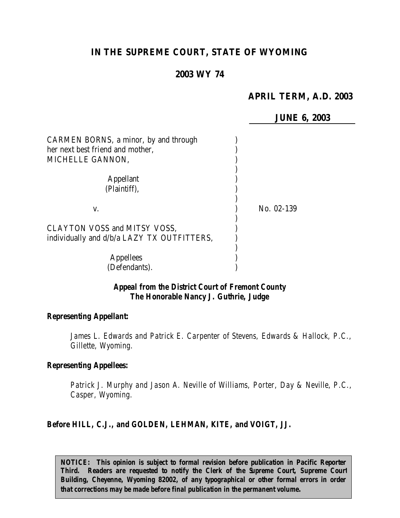# **IN THE SUPREME COURT, STATE OF WYOMING**

#### **2003 WY 74**

## **APRIL TERM, A.D. 2003**

**JUNE 6, 2003**

| CARMEN BORNS, a minor, by and through<br>her next best friend and mother,<br>MICHELLE GANNON, |            |
|-----------------------------------------------------------------------------------------------|------------|
| <b>Appellant</b><br>(Plaintiff),                                                              |            |
| V.                                                                                            | No. 02-139 |
| CLAYTON VOSS and MITSY VOSS,<br>individually and d/b/a LAZY TX OUTFITTERS,                    |            |
| <b>Appellees</b><br>(Defendants).                                                             |            |

#### *Appeal from the District Court of Fremont County The Honorable Nancy J. Guthrie, Judge*

#### *Representing Appellant:*

*James L. Edwards and Patrick E. Carpenter of Stevens, Edwards & Hallock, P.C., Gillette, Wyoming.*

#### *Representing Appellees:*

*Patrick J. Murphy and Jason A. Neville of Williams, Porter, Day & Neville, P.C., Casper, Wyoming.*

#### *Before HILL, C.J., and GOLDEN, LEHMAN, KITE, and VOIGT, JJ.*

*NOTICE: This opinion is subject to formal revision before publication in Pacific Reporter Third. Readers are requested to notify the Clerk of the Supreme Court, Supreme Court Building, Cheyenne, Wyoming 82002, of any typographical or other formal errors in order that corrections may be made before final publication in the permanent volume.*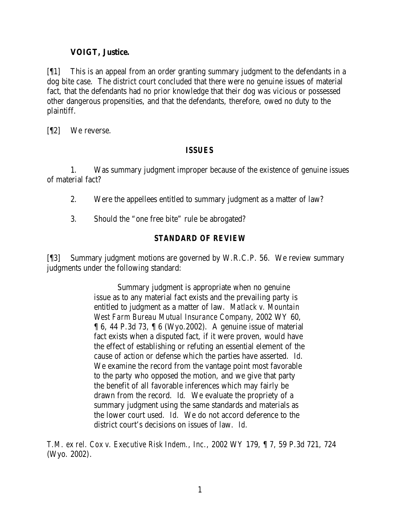### **VOIGT, Justice.**

[¶1] This is an appeal from an order granting summary judgment to the defendants in a dog bite case. The district court concluded that there were no genuine issues of material fact, that the defendants had no prior knowledge that their dog was vicious or possessed other dangerous propensities, and that the defendants, therefore, owed no duty to the plaintiff.

[¶2] We reverse.

### *ISSUES*

1. Was summary judgment improper because of the existence of genuine issues of material fact?

- 2. Were the appellees entitled to summary judgment as a matter of law?
- 3. Should the "one free bite" rule be abrogated?

# *STANDARD OF REVIEW*

[¶3] Summary judgment motions are governed by W.R.C.P. 56. We review summary judgments under the following standard:

> Summary judgment is appropriate when no genuine issue as to any material fact exists and the prevailing party is entitled to judgment as a matter of law. *Matlack v. Mountain West Farm Bureau Mutual Insurance Company,* 2002 WY 60,  $\llbracket 6, 44 \rbrack$  P.3d 73,  $\llbracket 6$  (Wyo.2002). A genuine issue of material fact exists when a disputed fact, if it were proven, would have the effect of establishing or refuting an essential element of the cause of action or defense which the parties have asserted. *Id.* We examine the record from the vantage point most favorable to the party who opposed the motion, and we give that party the benefit of all favorable inferences which may fairly be drawn from the record. *Id.* We evaluate the propriety of a summary judgment using the same standards and materials as the lower court used. *Id.* We do not accord deference to the district court's decisions on issues of law. *Id.*

*T.M. ex rel. Cox v. Executive Risk Indem., Inc.,* 2002 WY 179, ¶ 7, 59 P.3d 721, 724 (Wyo. 2002).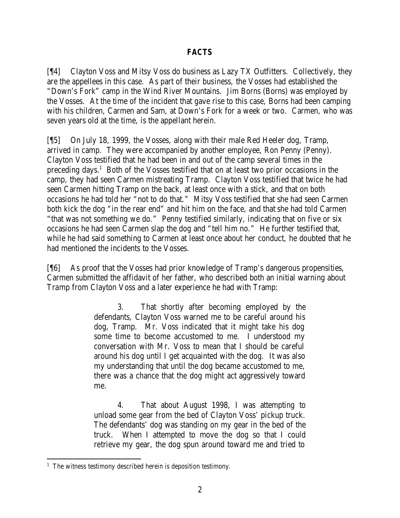### *FACTS*

[¶4] Clayton Voss and Mitsy Voss do business as Lazy TX Outfitters. Collectively, they are the appellees in this case. As part of their business, the Vosses had established the "Down's Fork" camp in the Wind River Mountains. Jim Borns (Borns) was employed by the Vosses. At the time of the incident that gave rise to this case, Borns had been camping with his children, Carmen and Sam, at Down's Fork for a week or two. Carmen, who was seven years old at the time, is the appellant herein.

[¶5] On July 18, 1999, the Vosses, along with their male Red Heeler dog, Tramp, arrived in camp. They were accompanied by another employee, Ron Penny (Penny). Clayton Voss testified that he had been in and out of the camp several times in the preceding days.<sup>1</sup> Both of the Vosses testified that on at least two prior occasions in the camp, they had seen Carmen mistreating Tramp. Clayton Voss testified that twice he had seen Carmen hitting Tramp on the back, at least once with a stick, and that on both occasions he had told her "not to do that." Mitsy Voss testified that she had seen Carmen both kick the dog "in the rear end" and hit him on the face, and that she had told Carmen "that was not something we do." Penny testified similarly, indicating that on five or six occasions he had seen Carmen slap the dog and "tell him no." He further testified that, while he had said something to Carmen at least once about her conduct, he doubted that he had mentioned the incidents to the Vosses.

[¶6] As proof that the Vosses had prior knowledge of Tramp's dangerous propensities, Carmen submitted the affidavit of her father, who described both an initial warning about Tramp from Clayton Voss and a later experience he had with Tramp:

> 3. That shortly after becoming employed by the defendants, Clayton Voss warned me to be careful around his dog, Tramp. Mr. Voss indicated that it might take his dog some time to become accustomed to me. I understood my conversation with Mr. Voss to mean that I should be careful around his dog until I get acquainted with the dog. It was also my understanding that until the dog became accustomed to me, there was a chance that the dog might act aggressively toward me.

> 4. That about August 1998, I was attempting to unload some gear from the bed of Clayton Voss' pickup truck. The defendants' dog was standing on my gear in the bed of the truck. When I attempted to move the dog so that I could retrieve my gear, the dog spun around toward me and tried to

<sup>&</sup>lt;sup>1</sup> The witness testimony described herein is deposition testimony.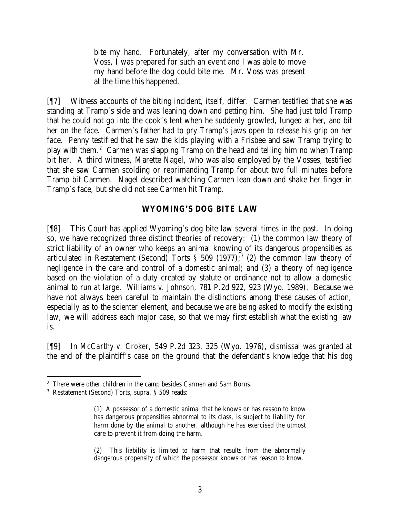bite my hand. Fortunately, after my conversation with Mr. Voss, I was prepared for such an event and I was able to move my hand before the dog could bite me. Mr. Voss was present at the time this happened.

[¶7] Witness accounts of the biting incident, itself, differ. Carmen testified that she was standing at Tramp's side and was leaning down and petting him. She had just told Tramp that he could not go into the cook's tent when he suddenly growled, lunged at her, and bit her on the face. Carmen's father had to pry Tramp's jaws open to release his grip on her face. Penny testified that he saw the kids playing with a Frisbee and saw Tramp trying to play with them.<sup>2</sup> Carmen was slapping Tramp on the head and telling him no when Tramp bit her. A third witness, Marette Nagel, who was also employed by the Vosses, testified that she saw Carmen scolding or reprimanding Tramp for about two full minutes before Tramp bit Carmen. Nagel described watching Carmen lean down and shake her finger in Tramp's face, but she did not see Carmen hit Tramp.

### **WYOMING'S DOG BITE LAW**

[¶8] This Court has applied Wyoming's dog bite law several times in the past. In doing so, we have recognized three distinct theories of recovery: (1) the common law theory of strict liability of an owner who keeps an animal knowing of its dangerous propensities as articulated in Restatement (Second) Torts *§* 509 (1977); 3 (2) the common law theory of negligence in the care and control of a domestic animal; and (3) a theory of negligence based on the violation of a duty created by statute or ordinance not to allow a domestic animal to run at large. *Williams v. Johnson,* 781 P.2d 922, 923 (Wyo. 1989). Because we have not always been careful to maintain the distinctions among these causes of action, especially as to the *scienter* element, and because we are being asked to modify the existing law, we will address each major case, so that we may first establish what the existing law is.

[¶9] In *McCarthy v. Croker,* 549 P.2d 323, 325 (Wyo. 1976), dismissal was granted at the end of the plaintiff's case on the ground that the defendant's knowledge that his dog

<sup>&</sup>lt;sup>2</sup> There were other children in the camp besides Carmen and Sam Borns.

<sup>3</sup> Restatement (Second) Torts, *supra*, § 509 reads:

<sup>(1)</sup> A possessor of a domestic animal that he knows or has reason to know has dangerous propensities abnormal to its class, is subject to liability for harm done by the animal to another, although he has exercised the utmost care to prevent it from doing the harm.

<sup>(2)</sup> This liability is limited to harm that results from the abnormally dangerous propensity of which the possessor knows or has reason to know.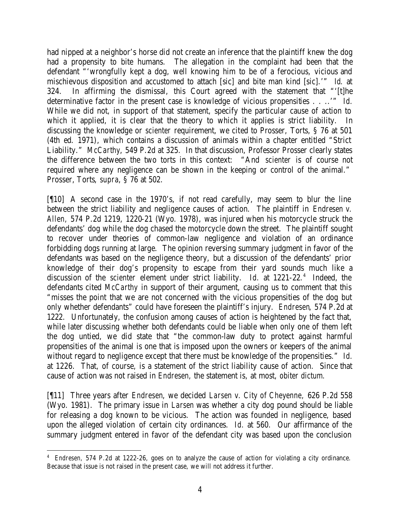had nipped at a neighbor's horse did not create an inference that the plaintiff knew the dog had a propensity to bite humans. The allegation in the complaint had been that the defendant "'wrongfully kept a dog, well knowing him to be of a ferocious, vicious and mischievous disposition and accustomed to attach [sic] and bite man kind [sic].'" *Id.* at 324. In affirming the dismissal, this Court agreed with the statement that "'[t]he determinative factor in the present case is knowledge of vicious propensities . . ..'" *Id.* While we did not, in support of that statement, specify the particular cause of action to which it applied, it is clear that the theory to which it applies is strict liability. discussing the knowledge or *scienter* requirement, we cited to Prosser, Torts, § 76 at 501 (4th ed. 1971), which contains a discussion of animals within a chapter entitled "Strict Liability." *McCarthy*, 549 P.2d at 325. In that discussion, Professor Prosser clearly states the difference between the two torts in this context: "And *scienter* is of course not required where any negligence can be shown in the keeping or control of the animal." Prosser, Torts, *supra*, § 76 at 502.

[¶10] A second case in the 1970's, if not read carefully, may seem to blur the line between the strict liability and negligence causes of action. The plaintiff in *Endresen v. Allen,* 574 P.2d 1219, 1220-21 (Wyo. 1978), was injured when his motorcycle struck the defendants' dog while the dog chased the motorcycle down the street. The plaintiff sought to recover under theories of common-law negligence and violation of an ordinance forbidding dogs running at large. The opinion reversing summary judgment in favor of the defendants was based on the negligence theory, but a discussion of the defendants' prior knowledge of their dog's propensity to escape from their yard sounds much like a discussion of the *scienter* element under strict liability. *Id.* at 1221-22.<sup>4</sup> Indeed, the defendants cited *McCarthy* in support of their argument, causing us to comment that this "misses the point that we are not concerned with the vicious propensities of the dog but only whether defendants" could have foreseen the plaintiff's injury. *Endresen*, 574 P.2d at 1222. Unfortunately, the confusion among causes of action is heightened by the fact that, while later discussing whether both defendants could be liable when only one of them left the dog untied, we did state that "the common-law duty to protect against harmful propensities of the animal is one that is imposed upon the owners or keepers of the animal without regard to negligence except that there must be knowledge of the propensities." *Id.* at 1226. That, of course, is a statement of the strict liability cause of action. Since that cause of action was not raised in *Endresen,* the statement is, at most, *obiter dictum.*

[¶11] Three years after *Endresen*, we decided *Larsen v. City of Cheyenne,* 626 P.2d 558 (Wyo. 1981). The primary issue in *Larsen* was whether a city dog pound should be liable for releasing a dog known to be vicious. The action was founded in negligence, based upon the alleged violation of certain city ordinances. *Id.* at 560. Our affirmance of the summary judgment entered in favor of the defendant city was based upon the conclusion

<sup>4</sup> *Endresen,* 574 P.2d at 1222-26, goes on to analyze the cause of action for violating a city ordinance. Because that issue is not raised in the present case, we will not address it further.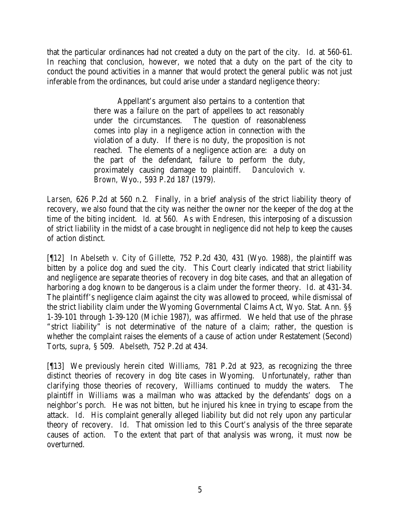that the particular ordinances had not created a duty on the part of the city. *Id.* at 560-61. In reaching that conclusion, however, we noted that a duty on the part of the city to conduct the pound activities in a manner that would protect the general public was not just inferable from the ordinances, but could arise under a standard negligence theory:

> Appellant's argument also pertains to a contention that there was a failure on the part of appellees to act reasonably under the circumstances. The question of reasonableness comes into play in a negligence action in connection with the violation of a duty. If there is no duty, the proposition is not reached. The elements of a negligence action are: a duty on the part of the defendant, failure to perform the duty, proximately causing damage to plaintiff. *Danculovich v. Brown,* Wyo., 593 P.2d 187 (1979).

*Larsen*, 626 P.2d at 560 n.2. Finally, in a brief analysis of the strict liability theory of recovery, we also found that the city was neither the owner nor the keeper of the dog at the time of the biting incident. *Id.* at 560. As with *Endresen,* this interposing of a discussion of strict liability in the midst of a case brought in negligence did not help to keep the causes of action distinct.

[¶12] In *Abelseth v. City of Gillette,* 752 P.2d 430, 431 (Wyo. 1988), the plaintiff was bitten by a police dog and sued the city. This Court clearly indicated that strict liability and negligence are separate theories of recovery in dog bite cases, and that an allegation of harboring a dog known to be dangerous is a claim under the former theory. *Id.* at 431-34. The plaintiff's negligence claim against the city was allowed to proceed, while dismissal of the strict liability claim under the Wyoming Governmental Claims Act, Wyo. Stat. Ann. §§ 1-39-101 through 1-39-120 (Michie 1987), was affirmed. We held that use of the phrase "strict liability" is not determinative of the nature of a claim; rather, the question is whether the complaint raises the elements of a cause of action under Restatement (Second) Torts, *supra*, § 509. *Abelseth*, 752 P.2d at 434.

[¶13] We previously herein cited *Williams,* 781 P.2d at 923, as recognizing the three distinct theories of recovery in dog bite cases in Wyoming. Unfortunately, rather than clarifying those theories of recovery, *Williams* continued to muddy the waters. The plaintiff in *Williams* was a mailman who was attacked by the defendants' dogs on a neighbor's porch. He was not bitten, but he injured his knee in trying to escape from the attack. *Id.* His complaint generally alleged liability but did not rely upon any particular theory of recovery. *Id.* That omission led to this Court's analysis of the three separate causes of action. To the extent that part of that analysis was wrong, it must now be overturned.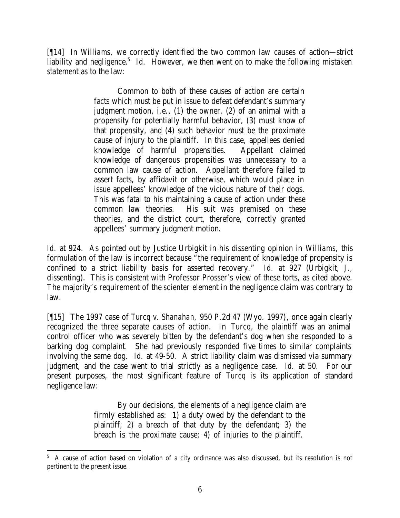[¶14] In *Williams,* we correctly identified the two common law causes of action—strict liability and negligence.<sup>5</sup> Id. However, we then went on to make the following mistaken statement as to the law:

> Common to both of these causes of action are certain facts which must be put in issue to defeat defendant's summary judgment motion, i.e., (1) the owner, (2) of an animal with a propensity for potentially harmful behavior, (3) must know of that propensity, and (4) such behavior must be the proximate cause of injury to the plaintiff. In this case, appellees denied knowledge of harmful propensities. Appellant claimed knowledge of dangerous propensities was unnecessary to a common law cause of action. Appellant therefore failed to assert facts, by affidavit or otherwise, which would place in issue appellees' knowledge of the vicious nature of their dogs. This was fatal to his maintaining a cause of action under these common law theories. His suit was premised on these theories, and the district court, therefore, correctly granted appellees' summary judgment motion.

*Id.* at 924. As pointed out by Justice Urbigkit in his dissenting opinion in *Williams,* this formulation of the law is incorrect because "the requirement of knowledge of propensity is confined to a strict liability basis for asserted recovery." *Id.* at 927 (Urbigkit, J., dissenting). This is consistent with Professor Prosser's view of these torts, as cited above. The majority's requirement of the *scienter* element in the negligence claim was contrary to law.

[¶15] The 1997 case of *Turcq v. Shanahan,* 950 P.2d 47 (Wyo. 1997), once again clearly recognized the three separate causes of action. In *Turcq,* the plaintiff was an animal control officer who was severely bitten by the defendant's dog when she responded to a barking dog complaint. She had previously responded five times to similar complaints involving the same dog. *Id.* at 49-50. A strict liability claim was dismissed via summary judgment, and the case went to trial strictly as a negligence case. *Id.* at 50.For our present purposes, the most significant feature of *Turcq* is its application of standard negligence law:

> By our decisions, the elements of a negligence claim are firmly established as: 1) a duty owed by the defendant to the plaintiff; 2) a breach of that duty by the defendant; 3) the breach is the proximate cause; 4) of injuries to the plaintiff.

 <sup>5</sup> A cause of action based on violation of a city ordinance was also discussed, but its resolution is not pertinent to the present issue.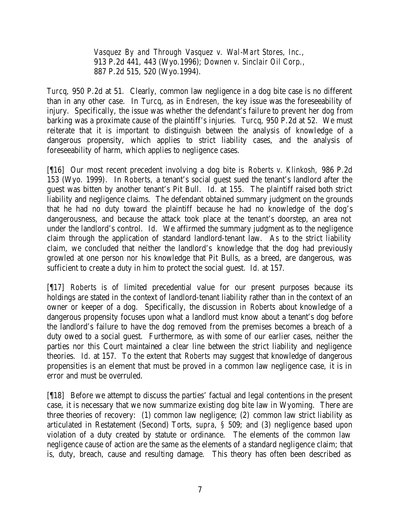*Vasquez By and Through Vasquez v. Wal-Mart Stores, Inc.,*  913 P.2d 441, 443 (Wyo.1996); *Downen v. Sinclair Oil Corp.,*  887 P.2d 515, 520 (Wyo.1994).

*Turcq*, 950 P.2d at 51. Clearly, common law negligence in a dog bite case is no different than in any other case. In *Turcq*, as in *Endresen,* the key issue was the foreseeability of injury. Specifically, the issue was whether the defendant's failure to prevent her dog from barking was a proximate cause of the plaintiff's injuries. *Turcq*, 950 P.2d at 52. We must reiterate that it is important to distinguish between the analysis of knowledge of a dangerous propensity, which applies to strict liability cases, and the analysis of foreseeability of harm, which applies to negligence cases.

[¶16] Our most recent precedent involving a dog bite is *Roberts v. Klinkosh,* 986 P.2d 153 (Wyo. 1999). In *Roberts,* a tenant's social guest sued the tenant's landlord after the guest was bitten by another tenant's Pit Bull. *Id.* at 155. The plaintiff raised both strict liability and negligence claims. The defendant obtained summary judgment on the grounds that he had no duty toward the plaintiff because he had no knowledge of the dog's dangerousness, and because the attack took place at the tenant's doorstep, an area not under the landlord's control. *Id.* We affirmed the summary judgment as to the negligence claim through the application of standard landlord-tenant law. As to the strict liability claim, we concluded that neither the landlord's knowledge that the dog had previously growled at one person nor his knowledge that Pit Bulls, as a breed, are dangerous, was sufficient to create a duty in him to protect the social guest. *Id.* at 157.

[¶17] *Roberts* is of limited precedential value for our present purposes because its holdings are stated in the context of landlord-tenant liability rather than in the context of an owner or keeper of a dog. Specifically, the discussion in *Roberts* about knowledge of a dangerous propensity focuses upon what a landlord must know about a tenant's dog before the landlord's failure to have the dog removed from the premises becomes a breach of a duty owed to a social guest. Furthermore, as with some of our earlier cases, neither the parties nor this Court maintained a clear line between the strict liability and negligence theories. *Id.* at 157. To the extent that *Roberts* may suggest that knowledge of dangerous propensities is an element that must be proved in a common law negligence case, it is in error and must be overruled.

[¶18] Before we attempt to discuss the parties' factual and legal contentions in the present case, it is necessary that we now summarize existing dog bite law in Wyoming. There are three theories of recovery: (1) common law negligence; (2) common law strict liability as articulated in Restatement (Second) Torts, *supra*, *§* 509; and (3) negligence based upon violation of a duty created by statute or ordinance. The elements of the common law negligence cause of action are the same as the elements of a standard negligence claim; that is, duty, breach, cause and resulting damage. This theory has often been described as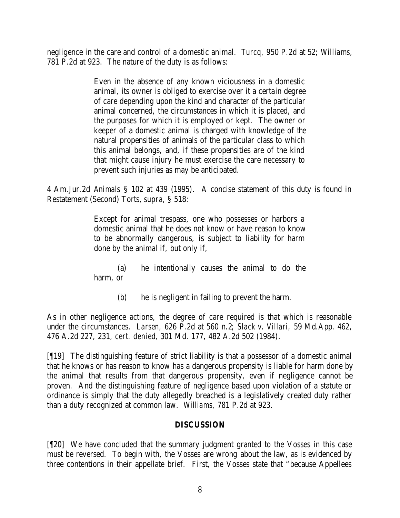negligence in the care and control of a domestic animal. *Turcq,* 950 P.2d at 52; *Williams,*  781 P.2d at 923. The nature of the duty is as follows:

> Even in the absence of any known viciousness in a domestic animal, its owner is obliged to exercise over it a certain degree of care depending upon the kind and character of the particular animal concerned, the circumstances in which it is placed, and the purposes for which it is employed or kept. The owner or keeper of a domestic animal is charged with knowledge of the natural propensities of animals of the particular class to which this animal belongs, and, if these propensities are of the kind that might cause injury he must exercise the care necessary to prevent such injuries as may be anticipated.

4 Am.Jur.2d *Animals* § 102 at 439 (1995). A concise statement of this duty is found in Restatement (Second) Torts, *supra*, § 518:

> Except for animal trespass, one who possesses or harbors a domestic animal that he does not know or have reason to know to be abnormally dangerous, is subject to liability for harm done by the animal if, but only if,

> (a) he intentionally causes the animal to do the harm, or

> > (b) he is negligent in failing to prevent the harm.

As in other negligence actions, the degree of care required is that which is reasonable under the circumstances. *Larsen,* 626 P.2d at 560 n.2; *Slack v. Villari,* 59 Md.App. 462, 476 A.2d 227, 231, *cert. denied*, 301 Md. 177, 482 A.2d 502 (1984).

[¶19] The distinguishing feature of strict liability is that a possessor of a domestic animal that he knows or has reason to know has a dangerous propensity is liable for harm done by the animal that results from that dangerous propensity, even if negligence cannot be proven. And the distinguishing feature of negligence based upon violation of a statute or ordinance is simply that the duty allegedly breached is a legislatively created duty rather than a duty recognized at common law. *Williams,* 781 P.2d at 923.

### **DISCUSSION**

[¶20] We have concluded that the summary judgment granted to the Vosses in this case must be reversed. To begin with, the Vosses are wrong about the law, as is evidenced by three contentions in their appellate brief. First, the Vosses state that "because Appellees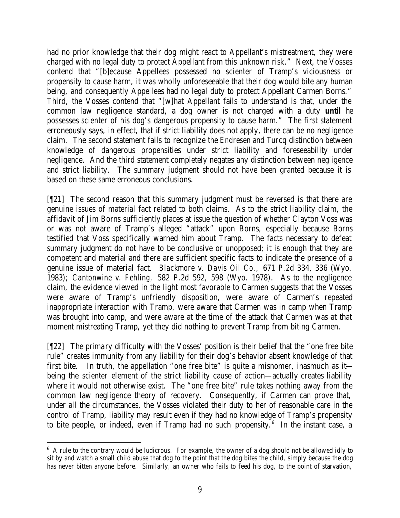had no prior knowledge that their dog might react to Appellant's mistreatment, they were charged with no legal duty to protect Appellant from this unknown risk." Next, the Vosses contend that "[b]ecause Appellees possessed no *scienter* of Tramp's viciousness or propensity to cause harm, it was wholly unforeseeable that their dog would bite any human being, and consequently Appellees had no legal duty to protect Appellant Carmen Borns." Third, the Vosses contend that "[w]hat Appellant fails to understand is that, under the common law negligence standard, a dog owner is not charged with a duty *until* he possesses *scienter* of his dog's dangerous propensity to cause harm." The first statement erroneously says, in effect, that if strict liability does not apply, there can be no negligence claim. The second statement fails to recognize the *Endresen* and *Turcq* distinction between knowledge of dangerous propensities under strict liability and foreseeability under negligence. And the third statement completely negates any distinction between negligence and strict liability. The summary judgment should not have been granted because it is based on these same erroneous conclusions.

[¶21] The second reason that this summary judgment must be reversed is that there are genuine issues of material fact related to both claims. As to the strict liability claim, the affidavit of Jim Borns sufficiently places at issue the question of whether Clayton Voss was or was not aware of Tramp's alleged "attack" upon Borns, especially because Borns testified that Voss specifically warned him about Tramp. The facts necessary to defeat summary judgment do not have to be conclusive or unopposed; it is enough that they are competent and material and there are sufficient specific facts to indicate the presence of a genuine issue of material fact. *Blackmore v. Davis Oil Co.,* 671 P.2d 334, 336 (Wyo. 1983); *Cantonwine v. Fehling,* 582 P.2d 592, 598 (Wyo. 1978). As to the negligence claim, the evidence viewed in the light most favorable to Carmen suggests that the Vosses were aware of Tramp's unfriendly disposition, were aware of Carmen's repeated inappropriate interaction with Tramp, were aware that Carmen was in camp when Tramp was brought into camp, and were aware at the time of the attack that Carmen was at that moment mistreating Tramp, yet they did nothing to prevent Tramp from biting Carmen.

[¶22] The primary difficulty with the Vosses' position is their belief that the "one free bite rule" creates immunity from any liability for their dog's behavior absent knowledge of that first bite. In truth, the appellation "one free bite" is quite a misnomer, inasmuch as it being the *scienter* element of the strict liability cause of action—actually creates liability where it would not otherwise exist. The "one free bite" rule takes nothing away from the common law negligence theory of recovery. Consequently, if Carmen can prove that, under all the circumstances, the Vosses violated their duty to her of reasonable care in the control of Tramp, liability may result even if they had no knowledge of Tramp's propensity to bite people, or indeed, even if Tramp had no such propensity.<sup>6</sup> In the instant case, a

 <sup>6</sup> A rule to the contrary would be ludicrous. For example, the owner of a dog should not be allowed idly to sit by and watch a small child abuse that dog to the point that the dog bites the child, simply because the dog has never bitten anyone before. Similarly, an owner who fails to feed his dog, to the point of starvation,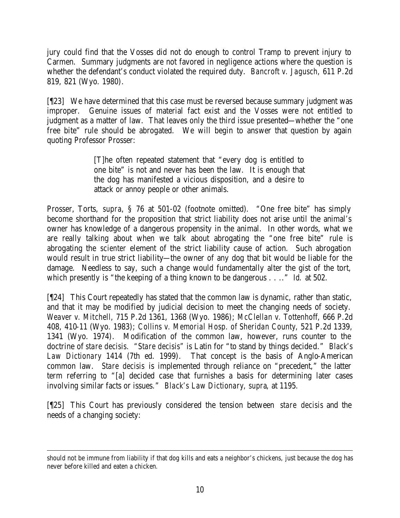jury could find that the Vosses did not do enough to control Tramp to prevent injury to Carmen. Summary judgments are not favored in negligence actions where the question is whether the defendant's conduct violated the required duty. *Bancroft v. Jagusch,* 611 P.2d 819, 821 (Wyo. 1980).

[¶23] We have determined that this case must be reversed because summary judgment was improper. Genuine issues of material fact exist and the Vosses were not entitled to judgment as a matter of law. That leaves only the third issue presented—whether the "one free bite" rule should be abrogated. We will begin to answer that question by again quoting Professor Prosser:

> [T]he often repeated statement that "every dog is entitled to one bite" is not and never has been the law. It is enough that the dog has manifested a vicious disposition, and a desire to attack or annoy people or other animals.

Prosser, Torts, *supra*, § 76 at 501-02 (footnote omitted). "One free bite" has simply become shorthand for the proposition that strict liability does not arise until the animal's owner has knowledge of a dangerous propensity in the animal. In other words, what we are really talking about when we talk about abrogating the "one free bite" rule is abrogating the *scienter* element of the strict liability cause of action. Such abrogation would result in true strict liability—the owner of any dog that bit would be liable for the damage. Needless to say, such a change would fundamentally alter the gist of the tort, which presently is "the keeping of a thing known to be dangerous . . .." *Id.* at 502.

[¶24] This Court repeatedly has stated that the common law is dynamic, rather than static, and that it may be modified by judicial decision to meet the changing needs of society. *Weaver v. Mitchell,* 715 P.2d 1361, 1368 (Wyo. 1986); *McClellan v. Tottenhoff,* 666 P.2d 408, 410-11 (Wyo. 1983); *Collins v. Memorial Hosp. of Sheridan County,* 521 P.2d 1339, 1341 (Wyo. 1974). Modification of the common law, however, runs counter to the doctrine of *stare decisis. "Stare decisis"* is Latin for "to stand by things decided." *Black's Law Dictionary* 1414 (7th ed. 1999). That concept is the basis of Anglo-American common law. *Stare decisis* is implemented through reliance on "precedent," the latter term referring to "[a] decided case that furnishes a basis for determining later cases involving similar facts or issues." *Black's Law Dictionary, supra*, at 1195*.*

[¶25] This Court has previously considered the tension between *stare decisis* and the needs of a changing society:

should not be immune from liability if that dog kills and eats a neighbor's chickens, just because the dog has never before killed and eaten a chicken.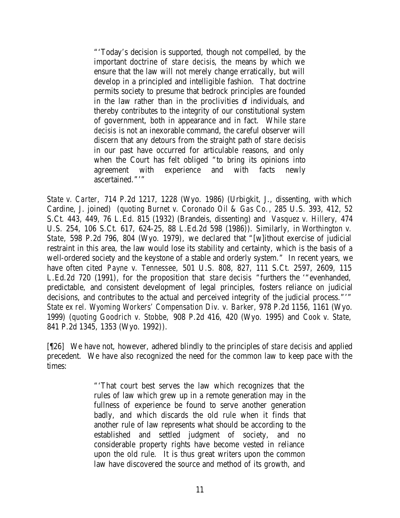"'Today's decision is supported, though not compelled, by the important doctrine of *stare decisis*, the means by which we ensure that the law will not merely change erratically, but will develop in a principled and intelligible fashion. That doctrine permits society to presume that bedrock principles are founded in the law rather than in the proclivities of individuals, and thereby contributes to the integrity of our constitutional system of government, both in appearance and in fact. While *stare decisis* is not an inexorable command, the careful observer will discern that any detours from the straight path of *stare decisis* in our past have occurred for articulable reasons, and only when the Court has felt obliged "to bring its opinions into agreement with experience and with facts newly ascertained."'"

*State v. Carter,* 714 P.2d 1217, 1228 (Wyo. 1986) (Urbigkit, J., dissenting, with which Cardine, J. joined) (*quoting Burnet v. Coronado Oil & Gas Co.*, 285 U.S. 393, 412, 52 S.Ct. 443, 449, 76 L.Ed. 815 (1932) (Brandeis, dissenting) and *Vasquez v. Hillery,* 474 U.S. 254, 106 S.Ct. 617, 624-25, 88 L.Ed.2d 598 (1986)). Similarly, in *Worthington v. State,* 598 P.2d 796, 804 (Wyo. 1979), we declared that "[w]ithout exercise of judicial restraint in this area, the law would lose its stability and certainty, which is the basis of a well-ordered society and the keystone of a stable and orderly system." In recent years, we have often cited *Payne v. Tennessee,* 501 U.S. 808, 827, 111 S.Ct. 2597, 2609, 115 L.Ed.2d 720 (1991), for the proposition that *stare decisis* "furthers the '"evenhanded, predictable, and consistent development of legal principles, fosters reliance on judicial decisions, and contributes to the actual and perceived integrity of the judicial process."'" *State ex rel. Wyoming Workers' Compensation Div. v. Barker,* 978 P.2d 1156, 1161 (Wyo. 1999) (*quoting Goodrich v. Stobbe,* 908 P.2d 416, 420 (Wyo. 1995) and *Cook v. State,*  841 P.2d 1345, 1353 (Wyo. 1992)).

[¶26] We have not, however, adhered blindly to the principles of *stare decisis* and applied precedent. We have also recognized the need for the common law to keep pace with the times:

> "'That court best serves the law which recognizes that the rules of law which grew up in a remote generation may in the fullness of experience be found to serve another generation badly, and which discards the old rule when it finds that another rule of law represents what should be according to the established and settled judgment of society, and no considerable property rights have become vested in reliance upon the old rule. It is thus great writers upon the common law have discovered the source and method of its growth, and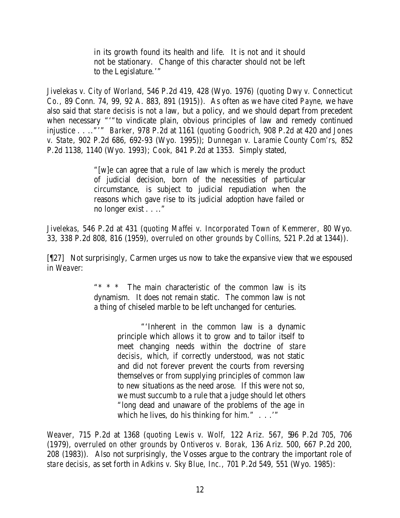in its growth found its health and life. It is not and it should not be stationary. Change of this character should not be left to the Legislature.'"

*Jivelekas v. City of Worland,* 546 P.2d 419, 428 (Wyo. 1976) (*quoting Dwy v. Connecticut Co.,* 89 Conn. 74, 99, 92 A. 883, 891 (1915)). As often as we have cited *Payne,* we have also said that *stare decisis* is not a law, but a policy, and we should depart from precedent when necessary "'"to vindicate plain, obvious principles of law and remedy continued injustice . . .."'" *Barker,* 978 P.2d at 1161 (*quoting Goodrich*, 908 P.2d at 420 and *Jones v. State*, 902 P.2d 686, 692-93 (Wyo. 1995)); *Dunnegan v. Laramie County Com'rs,* 852 P.2d 1138, 1140 (Wyo. 1993); *Cook,* 841 P.2d at 1353. Simply stated,

> "[w]e can agree that a rule of law which is merely the product of judicial decision, born of the necessities of particular circumstance, is subject to judicial repudiation when the reasons which gave rise to its judicial adoption have failed or no longer exist . . .."

*Jivelekas,* 546 P.2d at 431 (*quoting Maffei v. Incorporated Town of Kemmerer,* 80 Wyo. 33, 338 P.2d 808, 816 (1959), *overruled on other grounds by Collins,* 521 P.2d at 1344)).

[¶27] Not surprisingly, Carmen urges us now to take the expansive view that we espoused in *Weaver*:

> The main characteristic of the common law is its dynamism. It does not remain static. The common law is not a thing of chiseled marble to be left unchanged for centuries.

> > "'Inherent in the common law is a dynamic principle which allows it to grow and to tailor itself to meet changing needs within the doctrine of *stare decisis*, which, if correctly understood, was not static and did not forever prevent the courts from reversing themselves or from supplying principles of common law to new situations as the need arose. If this were not so, we must succumb to a rule that a judge should let others "long dead and unaware of the problems of the age in which he lives, do his thinking for him." . . . "

*Weaver,* 715 P.2d at 1368 (*quoting Lewis v. Wolf,* 122 Ariz. 567, 596 P.2d 705, 706 (1979), *overruled on other grounds by Ontiveros v. Borak,* 136 Ariz. 500, 667 P.2d 200, 208 (1983)). Also not surprisingly, the Vosses argue to the contrary the important role of *stare decisis*, as set forth in *Adkins v. Sky Blue, Inc.,* 701 P.2d 549, 551 (Wyo. 1985):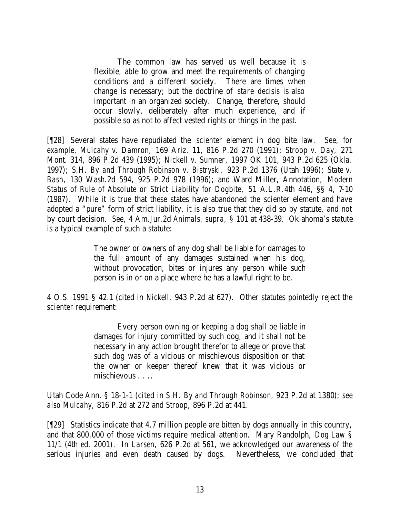The common law has served us well because it is flexible, able to grow and meet the requirements of changing conditions and a different society. There are times when change is necessary; but the doctrine of *stare decisis* is also important in an organized society. Change, therefore, should occur slowly, deliberately after much experience, and if possible so as not to affect vested rights or things in the past.

[¶28] Several states have repudiated the *scienter* element in dog bite law. *See, for example, Mulcahy v. Damron,* 169 Ariz. 11, 816 P.2d 270 (1991); *Stroop v. Day,* 271 Mont. 314, 896 P.2d 439 (1995); *Nickell v. Sumner,* 1997 OK 101, 943 P.2d 625 (Okla. 1997); *S.H. By and Through Robinson v. Bistryski,* 923 P.2d 1376 (Utah 1996); *State v. Bash,* 130 Wash.2d 594, 925 P.2d 978 (1996); and Ward Miller, Annotation, *Modern Status of Rule of Absolute or Strict Liability for Dogbite,* 51 A.L.R.4th 446, §§ 4, 7-10 (1987). While it is true that these states have abandoned the *scienter* element and have adopted a "pure" form of strict liability, it is also true that they did so by statute, and not by court decision. *See,* 4 Am.Jur.2d *Animals, supra,* § 101 at 438-39. Oklahoma's statute is a typical example of such a statute:

> The owner or owners of any dog shall be liable for damages to the full amount of any damages sustained when his dog, without provocation, bites or injures any person while such person is in or on a place where he has a lawful right to be.

4 O.S. 1991 § 42.1 (cited in *Nickell,* 943 P.2d at 627). Other statutes pointedly reject the *scienter* requirement:

> Every person owning or keeping a dog shall be liable in damages for injury committed by such dog, and it shall not be necessary in any action brought therefor to allege or prove that such dog was of a vicious or mischievous disposition or that the owner or keeper thereof knew that it was vicious or mischievous . . ..

Utah Code Ann. § 18-1-1 (cited in *S.H. By and Through Robinson,* 923 P.2d at 1380); *see also Mulcahy,* 816 P.2d at 272 and *Stroop,* 896 P.2d at 441.

[¶29] Statistics indicate that 4.7 million people are bitten by dogs annually in this country, and that 800,000 of those victims require medical attention. Mary Randolph, *Dog Law* § 11/1 (4th ed. 2001). In *Larsen,* 626 P.2d at 561, we acknowledged our awareness of the serious injuries and even death caused by dogs. Nevertheless, we concluded that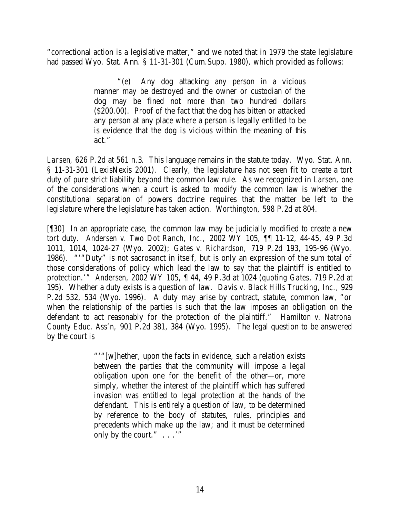"correctional action is a legislative matter," and we noted that in 1979 the state legislature had passed Wyo. Stat. Ann. § 11-31-301 (Cum.Supp. 1980), which provided as follows:

> "(e) Any dog attacking any person in a vicious manner may be destroyed and the owner or custodian of the dog may be fined not more than two hundred dollars (\$200.00). Proof of the fact that the dog has bitten or attacked any person at any place where a person is legally entitled to be is evidence that the dog is vicious within the meaning of this act."

*Larsen*, 626 P.2d at 561 n.3. This language remains in the statute today. Wyo. Stat. Ann. § 11-31-301 (LexisNexis 2001). Clearly, the legislature has not seen fit to create a tort duty of pure strict liability beyond the common law rule. As we recognized in *Larsen,* one of the considerations when a court is asked to modify the common law is whether the constitutional separation of powers doctrine requires that the matter be left to the legislature where the legislature has taken action. *Worthington,* 598 P.2d at 804.

[¶30] In an appropriate case, the common law may be judicially modified to create a new tort duty. *Andersen v. Two Dot Ranch, Inc.,* 2002 WY 105, ¶¶ 11-12, 44-45, 49 P.3d 1011, 1014, 1024-27 (Wyo. 2002); *Gates v. Richardson,* 719 P.2d 193, 195-96 (Wyo. 1986). "'"Duty" is not sacrosanct in itself, but is only an expression of the sum total of those considerations of policy which lead the law to say that the plaintiff is entitled to protection.'" *Andersen,* 2002 WY 105, ¶ 44, 49 P.3d at 1024 (*quoting Gates,* 719 P.2d at 195). Whether a duty exists is a question of law. *Davis v. Black Hills Trucking, Inc.,* 929 P.2d 532, 534 (Wyo. 1996). A duty may arise by contract, statute, common law, "or when the relationship of the parties is such that the law imposes an obligation on the defendant to act reasonably for the protection of the plaintiff." *Hamilton v. Natrona County Educ. Ass'n,* 901 P.2d 381, 384 (Wyo. 1995). The legal question to be answered by the court is

> "'"[w]hether, upon the facts in evidence, such a relation exists between the parties that the community will impose a legal obligation upon one for the benefit of the other—or, more simply, whether the interest of the plaintiff which has suffered invasion was entitled to legal protection at the hands of the defendant. This is entirely a question of law, to be determined by reference to the body of statutes, rules, principles and precedents which make up the law; and it must be determined only by the court."  $\ldots$  ..."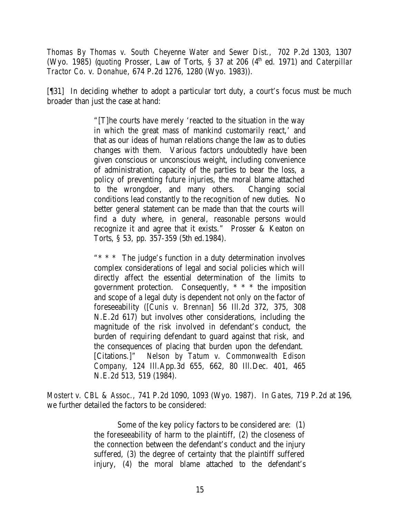*Thomas By Thomas v. South Cheyenne Water and Sewer Dist.,* 702 P.2d 1303, 1307 (Wyo. 1985) *(quoting Prosser, Law of Torts, § 37 at 206 (4<sup>th</sup> ed. 1971)* and *Caterpillar Tractor Co. v. Donahue*, 674 P.2d 1276, 1280 (Wyo. 1983)).

[¶31] In deciding whether to adopt a particular tort duty, a court's focus must be much broader than just the case at hand:

> "[T]he courts have merely 'reacted to the situation in the way in which the great mass of mankind customarily react,' and that as our ideas of human relations change the law as to duties changes with them. Various factors undoubtedly have been given conscious or unconscious weight, including convenience of administration, capacity of the parties to bear the loss, a policy of preventing future injuries, the moral blame attached to the wrongdoer, and many others. Changing social conditions lead constantly to the recognition of new duties. No better general statement can be made than that the courts will find a duty where, in general, reasonable persons would recognize it and agree that it exists." Prosser & Keaton on Torts, § 53, pp. 357-359 (5th ed.1984).

> "\* \* \* The judge's function in a duty determination involves complex considerations of legal and social policies which will directly affect the essential determination of the limits to government protection. Consequently, \* \* \* the imposition and scope of a legal duty is dependent not only on the factor of foreseeability ([*Cunis v. Brennan*] 56 Ill.2d 372, 375, 308 N.E.2d 617) but involves other considerations, including the magnitude of the risk involved in defendant's conduct, the burden of requiring defendant to guard against that risk, and the consequences of placing that burden upon the defendant. [Citations.]" *Nelson by Tatum v. Commonwealth Edison Company,* 124 Ill.App.3d 655, 662, 80 Ill.Dec. 401, 465 N.E.2d 513, 519 (1984).

*Mostert v. CBL & Assoc.,* 741 P.2d 1090, 1093 (Wyo. 1987). In *Gates,* 719 P.2d at 196, we further detailed the factors to be considered:

> Some of the key policy factors to be considered are: (1) the foreseeability of harm to the plaintiff, (2) the closeness of the connection between the defendant's conduct and the injury suffered, (3) the degree of certainty that the plaintiff suffered injury, (4) the moral blame attached to the defendant's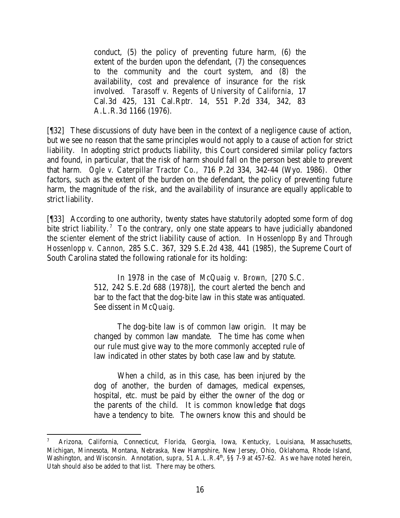conduct, (5) the policy of preventing future harm, (6) the extent of the burden upon the defendant, (7) the consequences to the community and the court system, and (8) the availability, cost and prevalence of insurance for the risk involved. *Tarasoff v. Regents of University of California,* 17 Cal.3d 425, 131 Cal.Rptr. 14, 551 P.2d 334, 342, 83 A.L.R.3d 1166 (1976).

[¶32] These discussions of duty have been in the context of a negligence cause of action, but we see no reason that the same principles would not apply to a cause of action for strict liability. In adopting strict products liability, this Court considered similar policy factors and found, in particular, that the risk of harm should fall on the person best able to prevent that harm. *Ogle v. Caterpillar Tractor Co.,* 716 P.2d 334, 342-44 (Wyo. 1986). Other factors, such as the extent of the burden on the defendant, the policy of preventing future harm, the magnitude of the risk, and the availability of insurance are equally applicable to strict liability.

[¶33] According to one authority, twenty states have statutorily adopted some form of dog bite strict liability.<sup>7</sup> To the contrary, only one state appears to have judicially abandoned the *scienter* element of the strict liability cause of action. In *Hossenlopp By and Through Hossenlopp v. Cannon,* 285 S.C. 367, 329 S.E.2d 438, 441 (1985), the Supreme Court of South Carolina stated the following rationale for its holding:

> In 1978 in the case of *McQuaig v. Brown,* [270 S.C. 512, 242 S.E.2d 688 (1978)], the court alerted the bench and bar to the fact that the dog-bite law in this state was antiquated. See dissent in *McQuaig.*

> The dog-bite law is of common law origin. It may be changed by common law mandate. The time has come when our rule must give way to the more commonly accepted rule of law indicated in other states by both case law and by statute.

> When a child, as in this case, has been injured by the dog of another, the burden of damages, medical expenses, hospital, etc. must be paid by either the owner of the dog or the parents of the child. It is common knowledge that dogs have a tendency to bite. The owners know this and should be

<sup>7</sup> Arizona, California, Connecticut, Florida, Georgia, Iowa, Kentucky, Louisiana, Massachusetts, Michigan, Minnesota, Montana, Nebraska, New Hampshire, New Jersey, Ohio, Oklahoma, Rhode Island, Washington, and Wisconsin. Annotation, *supra*, 51 A.L.R.4<sup>th</sup>, §§ 7-9 at 457-62. As we have noted herein, Utah should also be added to that list. There may be others.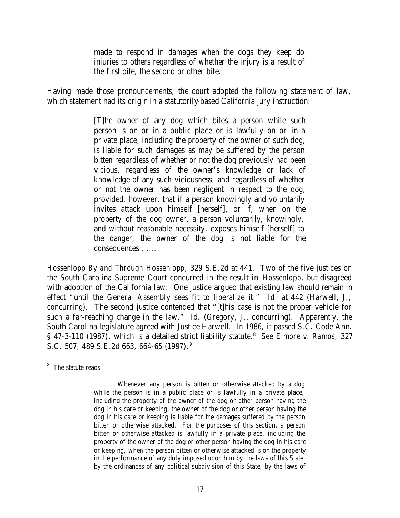made to respond in damages when the dogs they keep do injuries to others regardless of whether the injury is a result of the first bite, the second or other bite.

Having made those pronouncements, the court adopted the following statement of law, which statement had its origin in a statutorily-based California jury instruction:

> [T]he owner of any dog which bites a person while such person is on or in a public place or is lawfully on or in a private place, including the property of the owner of such dog, is liable for such damages as may be suffered by the person bitten regardless of whether or not the dog previously had been vicious, regardless of the owner's knowledge or lack of knowledge of any such viciousness, and regardless of whether or not the owner has been negligent in respect to the dog, provided, however, that if a person knowingly and voluntarily invites attack upon himself [herself], or if, when on the property of the dog owner, a person voluntarily, knowingly, and without reasonable necessity, exposes himself [herself] to the danger, the owner of the dog is not liable for the consequences . . ..

*Hossenlopp By and Through Hossenlopp*, 329 S.E.2d at 441. Two of the five justices on the South Carolina Supreme Court concurred in the result in *Hossenlopp*, but disagreed with adoption of the California law. One justice argued that existing law should remain in effect "until the General Assembly sees fit to liberalize it." *Id.* at 442 (Harwell, J., concurring). The second justice contended that "[t]his case is not the proper vehicle for such a far-reaching change in the law." *Id.* (Gregory, J., concurring). Apparently, the South Carolina legislature agreed with Justice Harwell. In 1986, it passed S.C. Code Ann. § 47-3-110 (1987), which is a detailed strict liability statute.<sup>8</sup> See Elmore v. Ramos, 327 S.C. 507, 489 S.E.2d 663, 664-65 (1997). 9

<sup>&</sup>lt;sup>8</sup> The statute reads:

Whenever any person is bitten or otherwise attacked by a dog while the person is in a public place or is lawfully in a private place, including the property of the owner of the dog or other person having the dog in his care or keeping, the owner of the dog or other person having the dog in his care or keeping is liable for the damages suffered by the person bitten or otherwise attacked. For the purposes of this section, a person bitten or otherwise attacked is lawfully in a private place, including the property of the owner of the dog or other person having the dog in his care or keeping, when the person bitten or otherwise attacked is on the property in the performance of any duty imposed upon him by the laws of this State, by the ordinances of any political subdivision of this State, by the laws of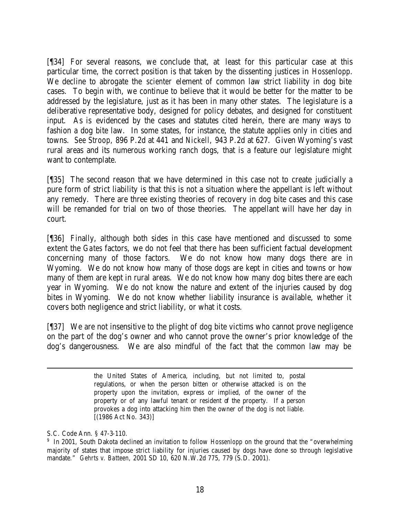[¶34] For several reasons, we conclude that, at least for this particular case at this particular time, the correct position is that taken by the dissenting justices in *Hossenlopp*. We decline to abrogate the *scienter* element of common law strict liability in dog bite cases. To begin with, we continue to believe that it would be better for the matter to be addressed by the legislature, just as it has been in many other states. The legislature is a deliberative representative body, designed for policy debates, and designed for constituent input. As is evidenced by the cases and statutes cited herein, there are many ways to fashion a dog bite law. In some states, for instance, the statute applies only in cities and towns. *See Stroop,* 896 P.2d at 441 and *Nickell,* 943 P.2d at 627. Given Wyoming's vast rural areas and its numerous working ranch dogs, that is a feature our legislature might want to contemplate.

[¶35] The second reason that we have determined in this case not to create judicially a pure form of strict liability is that this is not a situation where the appellant is left without any remedy. There are three existing theories of recovery in dog bite cases and this case will be remanded for trial on two of those theories. The appellant will have her day in court.

[¶36] Finally, although both sides in this case have mentioned and discussed to some extent the *Gates* factors, we do not feel that there has been sufficient factual development concerning many of those factors. We do not know how many dogs there are in Wyoming. We do not know how many of those dogs are kept in cities and towns or how many of them are kept in rural areas. We do not know how many dog bites there are each year in Wyoming. We do not know the nature and extent of the injuries caused by dog bites in Wyoming. We do not know whether liability insurance is available, whether it covers both negligence and strict liability, or what it costs.

[¶37] We are not insensitive to the plight of dog bite victims who cannot prove negligence on the part of the dog's owner and who cannot prove the owner's prior knowledge of the dog's dangerousness. We are also mindful of the fact that the common law may be

the United States of America, including, but not limited to, postal regulations, or when the person bitten or otherwise attacked is on the property upon the invitation, express or implied, of the owner of the property or of any lawful tenant or resident of the property. If a person provokes a dog into attacking him then the owner of the dog is not liable. [(1986 Act No. 343)]

S.C. Code Ann. § 47-3-110.

<sup>&</sup>lt;sup>9</sup> In 2001, South Dakota declined an invitation to follow *Hossenlopp* on the ground that the "overwhelming majority of states that impose strict liability for injuries caused by dogs have done so through legislative mandate." *Gehrts v. Batteen,* 2001 SD 10, 620 N.W.2d 775, 779 (S.D. 2001).